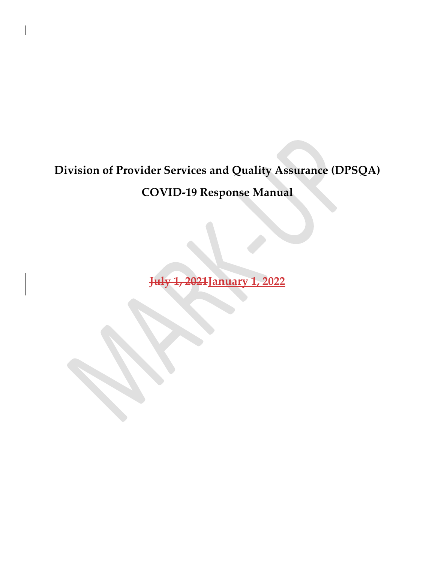### Division of Provider Services and Quality Assurance (DPSQA)

### COVID-19 Response Manual

July 1, 2021January 1, 2022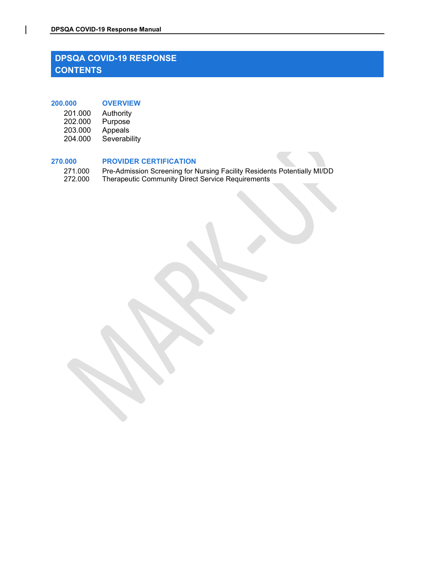### DPSQA COVID-19 Response Manual<br>DPSQA COVID-19 RESPONSE<br>CONTENTS DPSQA COVID-19 RESPONSE **CONTENTS** DPSQA COVID-19 RESPONSE<br>
DPSQA COVID-19 RESPONSE<br>
CONTENTS<br>
200.000 OVERVIEW<br>
201.000 Authority<br>
202.000 Purpose<br>
203.000 Appeals<br>
204.000 Severability QA COVID-19 Response Manual<br>
PSQA COVID-19 RESPONSE<br>
DNTENTS<br>
201.000 Authority<br>
202.000 Purpose<br>
203.000 Appeals<br>
204.000 Severability<br>
202.000 Purpose<br>
203.000 Appeals **QA COVID-19 Response Manual<br>PSQA COVID-19 RESPONSE<br>DNTENTS<br>202.000 Authority<br>202.000 Purpose<br>203.000 Appeals<br>204.000 Severability<br>Were CERTIFICATION**

| 201.000 | Authority    |
|---------|--------------|
| 202.000 | Purpose      |
| 203.000 | Appeals      |
| 204.000 | Severability |

### 270.000 PROVIDER CERTIFICATION

**QA COVID-19 Response Manual<br>PSQA COVID-19 RESPONSE<br>DNTENTS<br>201.000 Authority<br>203.000 Appeals<br>204.000 Appeals<br>204.000 Severability<br>271.000 Pre-Admission Screening for Nursing Facility Residents Potentially MI/DD** 271.000 Pre-Admission Screening for Nursing Facility Residents Potentially MI/DD<br>272.000 Therapeutic Community Direct Service Requirements **23 A COVID-19 RESPONSE<br>
272.000 OVERVIEW<br>
201.000 OVERVIEW<br>
203.000 Purpose<br>
203.000 Purpose<br>
203.000 Appeals<br>
204.000 Severability<br>
270.000 Pre-Admission Screening for Nursing Facility Residents Potentially MI/DD<br>
272.00**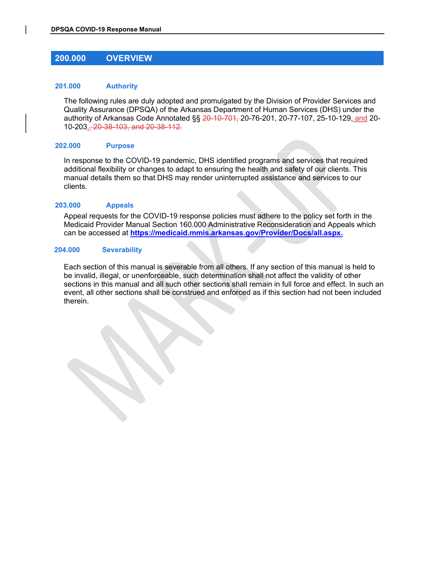# DPSQA COVID-19 Response Manual

### 201.000 Authority

200.000 OVERVIEW The following rules are duly adopted and promulgated by the Division of Provider Services and 0.000 OVERVIEW<br>
0.000 OVERVIEW<br>
1.000 Authority<br>
The following rules are duly adopted and promulgated by the Division of Provider Services and<br>
Quality Assurance (DPSQA) of the Arkansas Department of Human Services (DHS) u authority of Arkansas Code Annotated §§ 20-10-701, 20-76-201, 20-77-107, 25-10-129, and 20- 10-203., 20-38-103, and 20-38-112.

### 202.000 Purpose

In response to the COVID-19 pandemic, DHS identified programs and services that required additional flexibility or changes to adapt to ensuring the health and safety of our clients. This manual details them so that DHS may render uninterrupted assistance and services to our clients.

### 203.000 Appeals

Appeal requests for the COVID-19 response policies must adhere to the policy set forth in the Medicaid Provider Manual Section 160.000 Administrative Reconsideration and Appeals which can be accessed at <u>https://medicaid.mmis.arkansas.gov/Provider/Docs/all.aspx.</u><br>204.000 Severability

Each section of this manual is severable from all others. If any section of this manual is held to be invalid, illegal, or unenforceable, such determination shall not affect the validity of other sections in this manual and all such other sections shall remain in full force and effect. In such an event, all other sections shall be construed and enforced as if this section had not been included therein.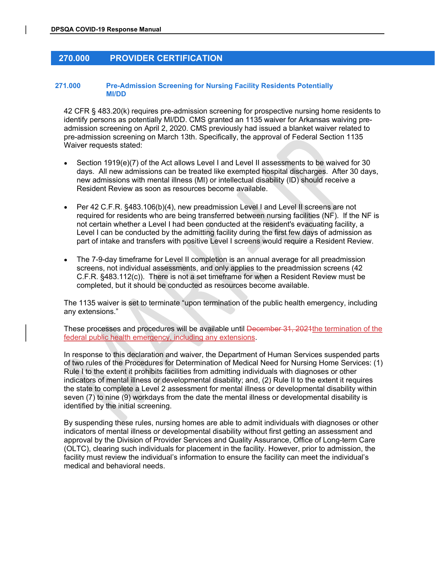# DPSQA COVID-19 Response Manual<br>270.000 PROVIDER CERTIFICATION

### 9304 COVID-19 Response Manual<br>270.000 PROVIDER CERTIFICATION<br>71.000 Pre-Admission Screening for Nursing Facility Residents Potentially<br>MI/DD 271.000 Pre-Admission Screening for Nursing Facility Residents Potentially MI/DD

42 CFR § 483.20(k) requires pre-admission screening for prospective nursing home residents to identify persons as potentially MI/DD. CMS granted an 1135 waiver for Arkansas waiving preadmission screening on April 2, 2020. CMS previously had issued a blanket waiver related to pre-admission screening on March 13th. Specifically, the approval of Federal Section 1135 Waiver requests stated:

- Section 1919(e)(7) of the Act allows Level I and Level II assessments to be waived for 30 days. All new admissions can be treated like exempted hospital discharges. After 30 days, new admissions with mental illness (MI) or intellectual disability (ID) should receive a Resident Review as soon as resources become available.
- Per 42 C.F.R. §483.106(b)(4), new preadmission Level I and Level II screens are not required for residents who are being transferred between nursing facilities (NF). If the NF is not certain whether a Level I had been conducted at the resident's evacuating facility, a Level I can be conducted by the admitting facility during the first few days of admission as part of intake and transfers with positive Level I screens would require a Resident Review.
- The 7-9-day timeframe for Level II completion is an annual average for all preadmission screens, not individual assessments, and only applies to the preadmission screens (42 C.F.R. §483.112(c)). There is not a set timeframe for when a Resident Review must be completed, but it should be conducted as resources become available.

The 1135 waiver is set to terminate "upon termination of the public health emergency, including any extensions."

These processes and procedures will be available until December 31, 2024 the termination of the federal public health emergency, including any extensions.

In response to this declaration and waiver, the Department of Human Services suspended parts of two rules of the Procedures for Determination of Medical Need for Nursing Home Services: (1) Rule I to the extent it prohibits facilities from admitting individuals with diagnoses or other indicators of mental illness or developmental disability; and, (2) Rule II to the extent it requires the state to complete a Level 2 assessment for mental illness or developmental disability within seven (7) to nine (9) workdays from the date the mental illness or developmental disability is identified by the initial screening.

By suspending these rules, nursing homes are able to admit individuals with diagnoses or other indicators of mental illness or developmental disability without first getting an assessment and approval by the Division of Provider Services and Quality Assurance, Office of Long-term Care (OLTC), clearing such individuals for placement in the facility. However, prior to admission, the facility must review the individual's information to ensure the facility can meet the individual's medical and behavioral needs.